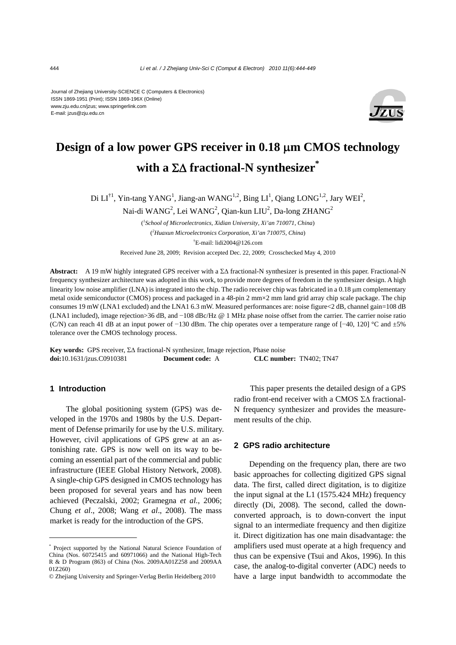Journal of Zhejiang University-SCIENCE C (Computers & Electronics) ISSN 1869-1951 (Print); ISSN 1869-196X (Online) www.zju.edu.cn/jzus; www.springerlink.com E-mail: jzus@zju.edu.cn



# **Design of a low power GPS receiver in 0.18** μ**m CMOS technology**  with a  $\Sigma\Delta$  fractional-N synthesizer<sup>\*</sup>

Di  $LI^{\dagger 1}$ , Yin-tang YANG<sup>1</sup>, Jiang-an WANG<sup>1,2</sup>, Bing  $LI^1$ , Qiang LONG<sup>1,2</sup>, Jary WEI<sup>2</sup>,

Nai-di WAN $G^2$ , Lei WAN $G^2$ , Qian-kun LIU $^2$ , Da-long ZHAN $G^2$ 

( *1 School of Microelectronics, Xidian University, Xi'an 710071, China*) ( *2 Huaxun Microelectronics Corporation, Xi'an 710075, China*) † E-mail: lidi2004@126.com Received June 28, 2009; Revision accepted Dec. 22, 2009; Crosschecked May 4, 2010

**Abstract:** A 19 mW highly integrated GPS receiver with a ΣΔ fractional-N synthesizer is presented in this paper. Fractional-N frequency synthesizer architecture was adopted in this work, to provide more degrees of freedom in the synthesizer design. A high linearity low noise amplifier (LNA) is integrated into the chip. The radio receiver chip was fabricated in a 0.18 μm complementary metal oxide semiconductor (CMOS) process and packaged in a 48-pin 2 mm×2 mm land grid array chip scale package. The chip consumes 19 mW (LNA1 excluded) and the LNA1 6.3 mW. Measured performances are: noise figure<2 dB, channel gain=108 dB (LNA1 included), image rejection>36 dB, and −108 dBc/Hz @ 1 MHz phase noise offset from the carrier. The carrier noise ratio (C/N) can reach 41 dB at an input power of −130 dBm. The chip operates over a temperature range of [−40, 120] °C and ±5% tolerance over the CMOS technology process.

**Key words:** GPS receiver, ΣΔ fractional-N synthesizer, Image rejection, Phase noise **doi:**10.1631/jzus.C0910381 **Document code:** A **CLC number:** TN402; TN47

# **1 Introduction**

The global positioning system (GPS) was developed in the 1970s and 1980s by the U.S. Department of Defense primarily for use by the U.S. military. However, civil applications of GPS grew at an astonishing rate. GPS is now well on its way to becoming an essential part of the commercial and public infrastructure (IEEE Global History Network, 2008). A single-chip GPS designed in CMOS technology has been proposed for several years and has now been achieved (Peczalski, 2002; Gramegna *et al.*, 2006; Chung *et al*., 2008; Wang *et al*., 2008). The mass market is ready for the introduction of the GPS.

This paper presents the detailed design of a GPS radio front-end receiver with a CMOS ΣΔ fractional-N frequency synthesizer and provides the measurement results of the chip.

## **2 GPS radio architecture**

Depending on the frequency plan, there are two basic approaches for collecting digitized GPS signal data. The first, called direct digitation, is to digitize the input signal at the L1 (1575.424 MHz) frequency directly (Di, 2008). The second, called the downconverted approach, is to down-convert the input signal to an intermediate frequency and then digitize it. Direct digitization has one main disadvantage: the amplifiers used must operate at a high frequency and thus can be expensive (Tsui and Akos, 1996). In this case, the analog-to-digital converter (ADC) needs to have a large input bandwidth to accommodate the

<sup>\*</sup> Project supported by the National Natural Science Foundation of China (Nos. 60725415 and 60971066) and the National High-Tech R & D Program (863) of China (Nos. 2009AA01Z258 and 2009AA 01Z260)

<sup>©</sup> Zhejiang University and Springer-Verlag Berlin Heidelberg 2010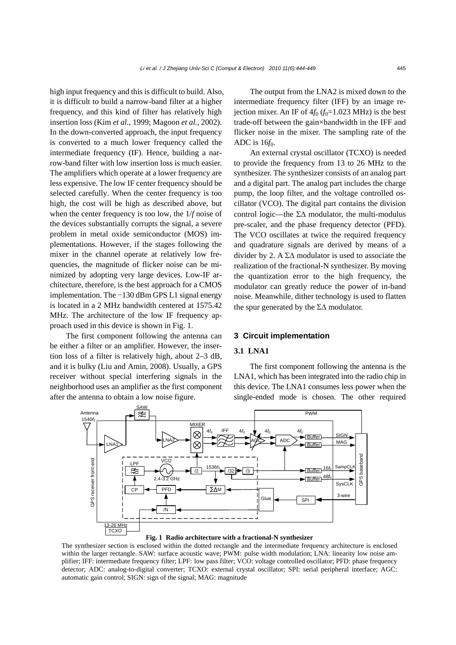high input frequency and this is difficult to build. Also, it is difficult to build a narrow-band filter at a higher frequency, and this kind of filter has relatively high insertion loss (Kim *et al*., 1999; Magoon *et al.*, 2002). In the down-converted approach, the input frequency is converted to a much lower frequency called the intermediate frequency (IF). Hence, building a narrow-band filter with low insertion loss is much easier. The amplifiers which operate at a lower frequency are less expensive. The low IF center frequency should be selected carefully. When the center frequency is too high, the cost will be high as described above, but when the center frequency is too low, the 1/*f* noise of the devices substantially corrupts the signal, a severe problem in metal oxide semiconductor (MOS) implementations. However, if the stages following the mixer in the channel operate at relatively low frequencies, the magnitude of flicker noise can be minimized by adopting very large devices. Low-IF architecture, therefore, is the best approach for a CMOS implementation. The −130 dBm GPS L1 signal energy is located in a 2 MHz bandwidth centered at 1575.42 MHz. The architecture of the low IF frequency approach used in this device is shown in Fig. 1.

The first component following the antenna can be either a filter or an amplifier. However, the insertion loss of a filter is relatively high, about 2–3 dB, and it is bulky (Liu and Amin, 2008). Usually, a GPS receiver without special interfering signals in the neighborhood uses an amplifier as the first component after the antenna to obtain a low noise figure.

The output from the LNA2 is mixed down to the intermediate frequency filter (IFF) by an image rejection mixer. An IF of  $4f_0$  ( $f_0$ =1.023 MHz) is the best trade-off between the gain×bandwidth in the IFF and flicker noise in the mixer. The sampling rate of the ADC is 16 $f_0$ .

An external crystal oscillator (TCXO) is needed to provide the frequency from 13 to 26 MHz to the synthesizer. The synthesizer consists of an analog part and a digital part. The analog part includes the charge pump, the loop filter, and the voltage controlled oscillator (VCO). The digital part contains the division control logic—the ΣΔ modulator, the multi-modulus pre-scaler, and the phase frequency detector (PFD). The VCO oscillates at twice the required frequency and quadrature signals are derived by means of a divider by 2. A  $\Sigma\Delta$  modulator is used to associate the realization of the fractional-N synthesizer. By moving the quantization error to the high frequency, the modulator can greatly reduce the power of in-band noise. Meanwhile, dither technology is used to flatten the spur generated by the  $\Sigma\Delta$  modulator.

#### **3 Circuit implementation**

## **3.1 LNA1**

The first component following the antenna is the LNA1, which has been integrated into the radio chip in this device. The LNA1 consumes less power when the single-ended mode is chosen. The other required



**Fig. 1 Radio architecture with a fractional-N synthesizer** 

The synthesizer section is enclosed within the dotted rectangle and the intermediate frequency architecture is enclosed within the larger rectangle. SAW: surface acoustic wave; PWM: pulse width modulation; LNA: linearity low noise amplifier; IFF: intermediate frequency filter; LPF: low pass filter; VCO: voltage controlled oscillator; PFD: phase frequency detector; ADC: analog-to-digital converter; TCXO: external crystal oscillator; SPI: serial peripheral interface; AGC: automatic gain control; SIGN: sign of the signal; MAG: magnitude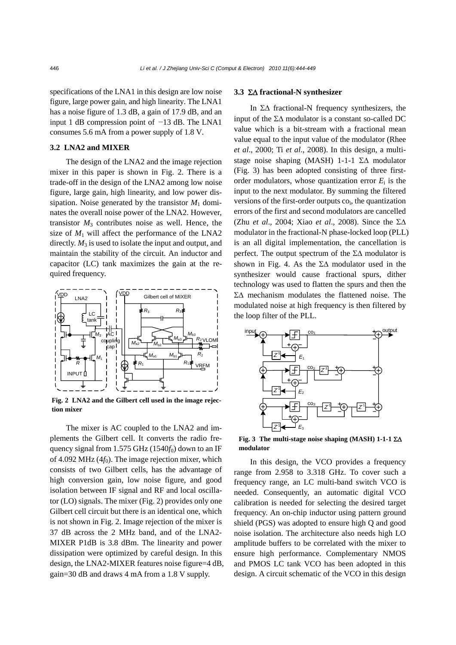specifications of the LNA1 in this design are low noise figure, large power gain, and high linearity. The LNA1 has a noise figure of 1.3 dB, a gain of 17.9 dB, and an input 1 dB compression point of −13 dB. The LNA1 consumes 5.6 mA from a power supply of 1.8 V.

# **3.2 LNA2 and MIXER**

The design of the LNA2 and the image rejection mixer in this paper is shown in Fig. 2. There is a trade-off in the design of the LNA2 among low noise figure, large gain, high linearity, and low power dissipation. Noise generated by the transistor  $M_1$  dominates the overall noise power of the LNA2. However, transistor  $M_3$  contributes noise as well. Hence, the size of  $M_1$  will affect the performance of the LNA2 directly.  $M_3$  is used to isolate the input and output, and maintain the stability of the circuit. An inductor and capacitor (LC) tank maximizes the gain at the required frequency.



**Fig. 2 LNA2 and the Gilbert cell used in the image rejection mixer**

The mixer is AC coupled to the LNA2 and implements the Gilbert cell. It converts the radio frequency signal from 1.575 GHz  $(1540f_0)$  down to an IF of 4.092 MHz  $(4f_0)$ . The image rejection mixer, which consists of two Gilbert cells, has the advantage of high conversion gain, low noise figure, and good isolation between IF signal and RF and local oscillator (LO) signals. The mixer (Fig. 2) provides only one Gilbert cell circuit but there is an identical one, which is not shown in Fig. 2. Image rejection of the mixer is 37 dB across the 2 MHz band, and of the LNA2- MIXER P1dB is 3.8 dBm. The linearity and power dissipation were optimized by careful design. In this design, the LNA2-MIXER features noise figure=4 dB, gain=30 dB and draws 4 mA from a 1.8 V supply.

#### **3.3** ΣΔ **fractional-N synthesizer**

In ΣΔ fractional-N frequency synthesizers, the input of the ΣΔ modulator is a constant so-called DC value which is a bit-stream with a fractional mean value equal to the input value of the modulator (Rhee *et al*., 2000; Ti *et al*., 2008). In this design, a multistage noise shaping (MASH) 1-1-1 ΣΔ modulator (Fig. 3) has been adopted consisting of three firstorder modulators, whose quantization error  $E_i$  is the input to the next modulator. By summing the filtered versions of the first-order outputs  $co<sub>i</sub>$ , the quantization errors of the first and second modulators are cancelled (Zhu *et al*., 2004; Xiao *et al*., 2008). Since the ΣΔ modulator in the fractional-N phase-locked loop (PLL) is an all digital implementation, the cancellation is perfect. The output spectrum of the  $\Sigma\Delta$  modulator is shown in Fig. 4. As the  $\Sigma\Delta$  modulator used in the synthesizer would cause fractional spurs, dither technology was used to flatten the spurs and then the ΣΔ mechanism modulates the flattened noise. The modulated noise at high frequency is then filtered by the loop filter of the PLL.



**Fig. 3 The multi-stage noise shaping (MASH) 1-1-1** ΣΔ **modulator**

In this design, the VCO provides a frequency range from 2.958 to 3.318 GHz. To cover such a frequency range, an LC multi-band switch VCO is needed. Consequently, an automatic digital VCO calibration is needed for selecting the desired target frequency. An on-chip inductor using pattern ground shield (PGS) was adopted to ensure high Q and good noise isolation. The architecture also needs high LO amplitude buffers to be correlated with the mixer to ensure high performance. Complementary NMOS and PMOS LC tank VCO has been adopted in this design. A circuit schematic of the VCO in this design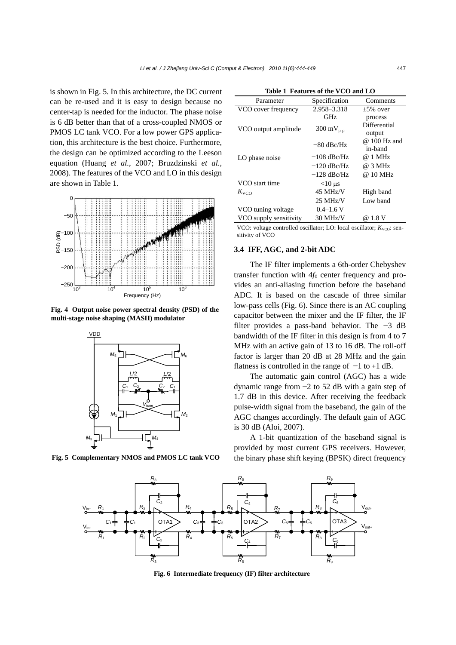is shown in Fig. 5. In this architecture, the DC current can be re-used and it is easy to design because no center-tap is needed for the inductor. The phase noise is 6 dB better than that of a cross-coupled NMOS or PMOS LC tank VCO. For a low power GPS application, this architecture is the best choice. Furthermore, the design can be optimized according to the Leeson equation (Huang *et al.*, 2007; Bruzdzinski *et al.*, 2008). The features of the VCO and LO in this design are shown in Table 1.



**Fig. 4 Output noise power spectral density (PSD) of the multi-stage noise shaping (MASH) modulator** 



| Table 1 Features of the VCO and LO |                 |                         |  |  |  |
|------------------------------------|-----------------|-------------------------|--|--|--|
| Parameter                          | Specification   | Comments                |  |  |  |
| VCO cover frequency                | 2.958-3.318     | $+5\%$ over             |  |  |  |
|                                    | GHz             | process                 |  |  |  |
| VCO output amplitude               | 300 m $V_{p-p}$ | Differential<br>output  |  |  |  |
|                                    | $-80$ dBc/Hz    | @ 100 Hz and<br>in-band |  |  |  |
| LO phase noise                     | $-108$ dBc/Hz   | @ 1 MHz                 |  |  |  |
|                                    | $-120$ dBc/Hz   | @ 3 MHz                 |  |  |  |
|                                    | $-128$ dBc/Hz   | @ 10 MHz                |  |  |  |
| VCO start time                     | $<$ 10 µs       |                         |  |  |  |
| $K_{VCD}$                          | 45 MHz/V        | High band               |  |  |  |
|                                    | $25$ MHz/V      | Low band                |  |  |  |
| VCO tuning voltage                 | $0.4 - 1.6$ V   |                         |  |  |  |
| VCO supply sensitivity             | $30$ MHz/V      | @ 1.8 V                 |  |  |  |

VCO: voltage controlled oscillator; LO: local oscillator;  $K_{VCO}$ : sensitivity of VCO

## **3.4 IFF, AGC, and 2-bit ADC**

The IF filter implements a 6th-order Chebyshev transfer function with  $4f_0$  center frequency and provides an anti-aliasing function before the baseband ADC. It is based on the cascade of three similar low-pass cells (Fig. 6). Since there is an AC coupling capacitor between the mixer and the IF filter, the IF filter provides a pass-band behavior. The −3 dB bandwidth of the IF filter in this design is from 4 to 7 MHz with an active gain of 13 to 16 dB. The roll-off factor is larger than 20 dB at 28 MHz and the gain flatness is controlled in the range of  $-1$  to +1 dB.

The automatic gain control (AGC) has a wide dynamic range from −2 to 52 dB with a gain step of 1.7 dB in this device. After receiving the feedback pulse-width signal from the baseband, the gain of the AGC changes accordingly. The default gain of AGC is 30 dB (Aloi, 2007).

A 1-bit quantization of the baseband signal is provided by most current GPS receivers. However, **Fig. 5 Complementary NMOS and PMOS LC tank VCO** the binary phase shift keying (BPSK) direct frequency



**Fig. 6 Intermediate frequency (IF) filter architecture**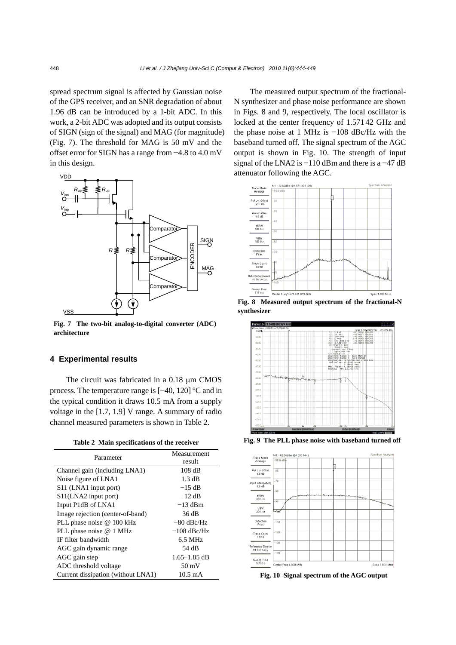spread spectrum signal is affected by Gaussian noise of the GPS receiver, and an SNR degradation of about 1.96 dB can be introduced by a 1-bit ADC. In this work, a 2-bit ADC was adopted and its output consists of SIGN (sign of the signal) and MAG (for magnitude) (Fig. 7). The threshold for MAG is 50 mV and the offset error for SIGN has a range from −4.8 to 4.0 mV in this design.



**Fig. 7 The two-bit analog-to-digital converter (ADC) architecture**

## **4 Experimental results**

The circuit was fabricated in a 0.18 μm CMOS process. The temperature range is [−40, 120] °C and in the typical condition it draws 10.5 mA from a supply voltage in the [1.7, 1.9] V range. A summary of radio channel measured parameters is shown in Table 2.

|  |  | Table 2 Main specifications of the receiver |  |  |  |
|--|--|---------------------------------------------|--|--|--|
|--|--|---------------------------------------------|--|--|--|

| Parameter                                     | Measurement<br>result |  |  |
|-----------------------------------------------|-----------------------|--|--|
| Channel gain (including LNA1)                 | $108$ dB              |  |  |
| Noise figure of LNA1                          | $1.3 \text{ dB}$      |  |  |
| S <sub>11</sub> (LNA <sub>1</sub> input port) | $-15$ dB              |  |  |
| S <sub>11</sub> (LNA <sub>2</sub> input port) | $-12$ dB              |  |  |
| Input P1dB of LNA1                            | $-13$ dBm             |  |  |
| Image rejection (center-of-band)              | 36 dB                 |  |  |
| PLL phase noise @ 100 kHz                     | $-80$ dBc/Hz          |  |  |
| PLL phase noise @ 1 MHz                       | $-108$ dBc/Hz         |  |  |
| IF filter bandwidth                           | $6.5$ MHz             |  |  |
| AGC gain dynamic range                        | 54 dB                 |  |  |
| AGC gain step                                 | $1.65 - 1.85$ dB      |  |  |
| ADC threshold voltage                         | $50 \text{ mV}$       |  |  |
| Current dissipation (without LNA1)            | $10.5 \,\mathrm{mA}$  |  |  |

The measured output spectrum of the fractional-N synthesizer and phase noise performance are shown in Figs. 8 and 9, respectively. The local oscillator is locked at the center frequency of 1.571 42 GHz and the phase noise at 1 MHz is −108 dBc/Hz with the baseband turned off. The signal spectrum of the AGC output is shown in Fig. 10. The strength of input signal of the LNA2 is −110 dBm and there is a −47 dB attenuator following the AGC.



**Fig. 8 Measured output spectrum of the fractional-N synthesizer**



**Fig. 9 The PLL phase noise with baseband turned off**



**Fig. 10 Signal spectrum of the AGC output**